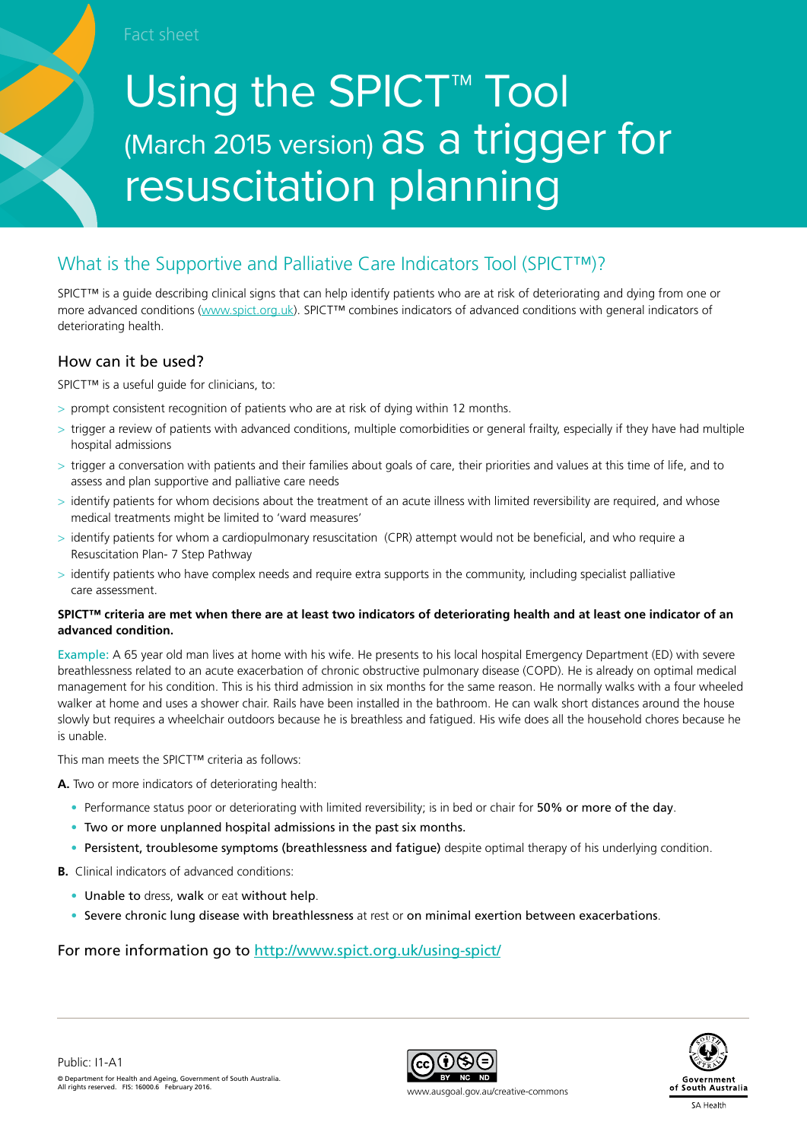Fact sheet

# Using the SPICT<sup>™</sup> Tool (March 2015 version) as a trigger for resuscitation planning

# What is the Supportive and Palliative Care Indicators Tool (SPICT™)?

SPICT™ is a quide describing clinical signs that can help identify patients who are at risk of deteriorating and dying from one or more advanced conditions (www.spict.org.uk). SPICT™ combines indicators of advanced conditions with general indicators of deteriorating health.

#### How can it be used?

SPICT<sup>™</sup> is a useful quide for clinicians, to:

- > prompt consistent recognition of patients who are at risk of dying within 12 months.
- > trigger a review of patients with advanced conditions, multiple comorbidities or general frailty, especially if they have had multiple hospital admissions
- > trigger a conversation with patients and their families about goals of care, their priorities and values at this time of life, and to assess and plan supportive and palliative care needs
- > identify patients for whom decisions about the treatment of an acute illness with limited reversibility are required, and whose medical treatments might be limited to 'ward measures'
- > identify patients for whom a cardiopulmonary resuscitation (CPR) attempt would not be beneficial, and who require a Resuscitation Plan- 7 Step Pathway
- $>$  identify patients who have complex needs and require extra supports in the community, including specialist palliative care assessment.

#### **SPICT™ criteria are met when there are at least two indicators of deteriorating health and at least one indicator of an advanced condition.**

Example: A 65 year old man lives at home with his wife. He presents to his local hospital Emergency Department (ED) with severe breathlessness related to an acute exacerbation of chronic obstructive pulmonary disease (COPD). He is already on optimal medical management for his condition. This is his third admission in six months for the same reason. He normally walks with a four wheeled walker at home and uses a shower chair. Rails have been installed in the bathroom. He can walk short distances around the house slowly but requires a wheelchair outdoors because he is breathless and fatigued. His wife does all the household chores because he is unable.

This man meets the SPICT™ criteria as follows:

**A.** Two or more indicators of deteriorating health:

- Performance status poor or deteriorating with limited reversibility; is in bed or chair for 50% or more of the day.
- Two or more unplanned hospital admissions in the past six months.
- Persistent, troublesome symptoms (breathlessness and fatigue) despite optimal therapy of his underlying condition.

**B.** Clinical indicators of advanced conditions:

- Unable to dress, walk or eat without help.
- Severe chronic lung disease with breathlessness at rest or on minimal exertion between exacerbations.

#### For more information go to http://www.spict.org.uk/using-spict/